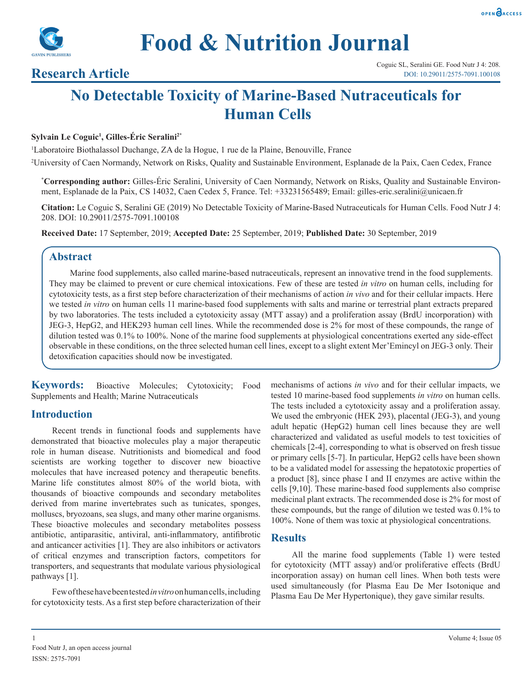



# **Food & Nutrition Journal**

# **Research Article**

# **No Detectable Toxicity of Marine-Based Nutraceuticals for Human Cells**

#### **Sylvain Le Coguic1 , Gilles-Éric Seralini2\***

1 Laboratoire Biothalassol Duchange, ZA de la Hogue, 1 rue de la Plaine, Benouville, France 2 University of Caen Normandy, Network on Risks, Quality and Sustainable Environment, Esplanade de la Paix, Caen Cedex, France

**\* Corresponding author:** Gilles-Éric Seralini, University of Caen Normandy, Network on Risks, Quality and Sustainable Environment, Esplanade de la Paix, CS 14032, Caen Cedex 5, France. Tel: +33231565489; Email: gilles-eric.seralini@unicaen.fr

**Citation:** Le Coguic S, Seralini GE (2019) No Detectable Toxicity of Marine-Based Nutraceuticals for Human Cells. Food Nutr J 4: 208. DOI: 10.29011/2575-7091.100108

**Received Date:** 17 September, 2019; **Accepted Date:** 25 September, 2019; **Published Date:** 30 September, 2019

#### **Abstract**

Marine food supplements, also called marine-based nutraceuticals, represent an innovative trend in the food supplements. They may be claimed to prevent or cure chemical intoxications. Few of these are tested *in vitro* on human cells, including for cytotoxicity tests, as a first step before characterization of their mechanisms of action *in vivo* and for their cellular impacts. Here we tested *in vitro* on human cells 11 marine-based food supplements with salts and marine or terrestrial plant extracts prepared by two laboratories. The tests included a cytotoxicity assay (MTT assay) and a proliferation assay (BrdU incorporation) with JEG-3, HepG2, and HEK293 human cell lines. While the recommended dose is 2% for most of these compounds, the range of dilution tested was 0.1% to 100%. None of the marine food supplements at physiological concentrations exerted any side-effect observable in these conditions, on the three selected human cell lines, except to a slight extent Mer'Emincyl on JEG-3 only. Their detoxification capacities should now be investigated.

**Keywords:** Bioactive Molecules; Cytotoxicity; Food Supplements and Health; Marine Nutraceuticals

# **Introduction**

Recent trends in functional foods and supplements have demonstrated that bioactive molecules play a major therapeutic role in human disease. Nutritionists and biomedical and food scientists are working together to discover new bioactive molecules that have increased potency and therapeutic benefits. Marine life constitutes almost 80% of the world biota, with thousands of bioactive compounds and secondary metabolites derived from marine invertebrates such as tunicates, sponges, molluscs, bryozoans, sea slugs, and many other marine organisms. These bioactive molecules and secondary metabolites possess antibiotic, antiparasitic, antiviral, anti-inflammatory, antifibrotic and anticancer activities [1]. They are also inhibitors or activators of critical enzymes and transcription factors, competitors for transporters, and sequestrants that modulate various physiological pathways [1].

Few of these have been tested *in vitro* on human cells, including for cytotoxicity tests. As a first step before characterization of their mechanisms of actions *in vivo* and for their cellular impacts, we tested 10 marine-based food supplements *in vitro* on human cells. The tests included a cytotoxicity assay and a proliferation assay. We used the embryonic (HEK 293), placental (JEG-3), and young adult hepatic (HepG2) human cell lines because they are well characterized and validated as useful models to test toxicities of chemicals [2-4], corresponding to what is observed on fresh tissue or primary cells [5-7]. In particular, HepG2 cells have been shown to be a validated model for assessing the hepatotoxic properties of a product [8], since phase I and II enzymes are active within the cells [9,10]. These marine-based food supplements also comprise medicinal plant extracts. The recommended dose is 2% for most of these compounds, but the range of dilution we tested was 0.1% to 100%. None of them was toxic at physiological concentrations.

# **Results**

All the marine food supplements (Table 1) were tested for cytotoxicity (MTT assay) and/or proliferative effects (BrdU incorporation assay) on human cell lines. When both tests were used simultaneously (for Plasma Eau De Mer Isotonique and Plasma Eau De Mer Hypertonique), they gave similar results.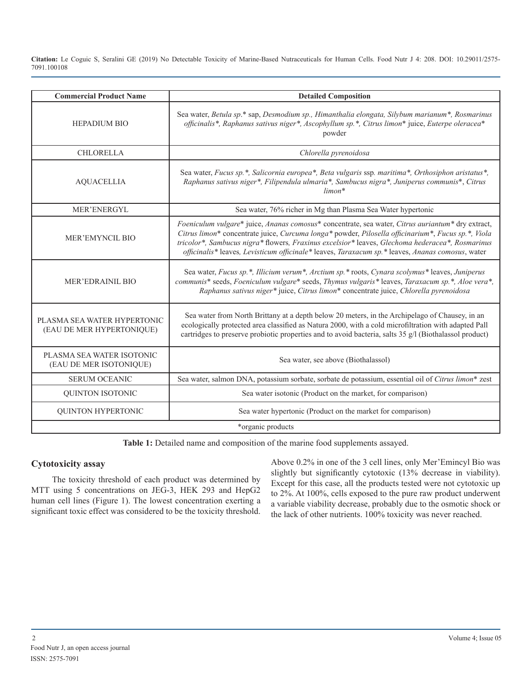| <b>Commercial Product Name</b>                           | <b>Detailed Composition</b>                                                                                                                                                                                                                                                                                                                                                                                    |
|----------------------------------------------------------|----------------------------------------------------------------------------------------------------------------------------------------------------------------------------------------------------------------------------------------------------------------------------------------------------------------------------------------------------------------------------------------------------------------|
| <b>HEPADIUM BIO</b>                                      | Sea water, Betula sp.* sap, Desmodium sp., Himanthalia elongata, Silybum marianum*, Rosmarinus<br>officinalis*, Raphanus sativus niger*, Ascophyllum sp.*, Citrus limon* juice, Euterpe oleracea*<br>powder                                                                                                                                                                                                    |
| <b>CHLORELLA</b>                                         | Chlorella pyrenoidosa                                                                                                                                                                                                                                                                                                                                                                                          |
| <b>AQUACELLIA</b>                                        | Sea water, Fucus sp.*, Salicornia europea*, Beta vulgaris ssp. maritima*, Orthosiphon aristatus*,<br>Raphanus sativus niger*, Filipendula ulmaria*, Sambucus nigra*, Juniperus communis*, Citrus<br>$limon*$                                                                                                                                                                                                   |
| <b>MER'ENERGYL</b>                                       | Sea water, 76% richer in Mg than Plasma Sea Water hypertonic                                                                                                                                                                                                                                                                                                                                                   |
| <b>MER'EMYNCIL BIO</b>                                   | Foeniculum vulgare* juice, Ananas comosus* concentrate, sea water, Citrus auriantum* dry extract,<br>Citrus limon* concentrate juice, Curcuma longa* powder, Pilosella officinarium*, Fucus sp.*, Viola<br>tricolor*, Sambucus nigra* flowers, Fraxinus excelsior* leaves, Glechoma hederacea*, Rosmarinus<br>officinalis* leaves, Levisticum officinale* leaves, Taraxacum sp.* leaves, Ananas comosus, water |
| <b>MER'EDRAINIL BIO</b>                                  | Sea water, Fucus sp.*, Illicium verum*, Arctium sp.* roots, Cynara scolymus* leaves, Juniperus<br>communis* seeds, Foeniculum vulgare* seeds, Thymus vulgaris* leaves, Taraxacum sp.*, Aloe vera*,<br>Raphanus sativus niger* juice, Citrus limon* concentrate juice, Chlorella pyrenoidosa                                                                                                                    |
| PLASMA SEA WATER HYPERTONIC<br>(EAU DE MER HYPERTONIQUE) | Sea water from North Brittany at a depth below 20 meters, in the Archipelago of Chausey, in an<br>ecologically protected area classified as Natura 2000, with a cold microfiltration with adapted Pall<br>cartridges to preserve probiotic properties and to avoid bacteria, salts $35 \text{ g/l}$ (Biothalassol product)                                                                                     |
| PLASMA SEA WATER ISOTONIC<br>(EAU DE MER ISOTONIQUE)     | Sea water, see above (Biothalassol)                                                                                                                                                                                                                                                                                                                                                                            |
| <b>SERUM OCEANIC</b>                                     | Sea water, salmon DNA, potassium sorbate, sorbate de potassium, essential oil of Citrus limon* zest                                                                                                                                                                                                                                                                                                            |
| <b>QUINTON ISOTONIC</b>                                  | Sea water isotonic (Product on the market, for comparison)                                                                                                                                                                                                                                                                                                                                                     |
| <b>QUINTON HYPERTONIC</b>                                | Sea water hypertonic (Product on the market for comparison)                                                                                                                                                                                                                                                                                                                                                    |
| *organic products                                        |                                                                                                                                                                                                                                                                                                                                                                                                                |

**Table 1:** Detailed name and composition of the marine food supplements assayed.

#### **Cytotoxicity assay**

The toxicity threshold of each product was determined by MTT using 5 concentrations on JEG-3, HEK 293 and HepG2 human cell lines (Figure 1). The lowest concentration exerting a significant toxic effect was considered to be the toxicity threshold. Above 0.2% in one of the 3 cell lines, only Mer'Emincyl Bio was slightly but significantly cytotoxic (13% decrease in viability). Except for this case, all the products tested were not cytotoxic up to 2%. At 100%, cells exposed to the pure raw product underwent a variable viability decrease, probably due to the osmotic shock or the lack of other nutrients. 100% toxicity was never reached.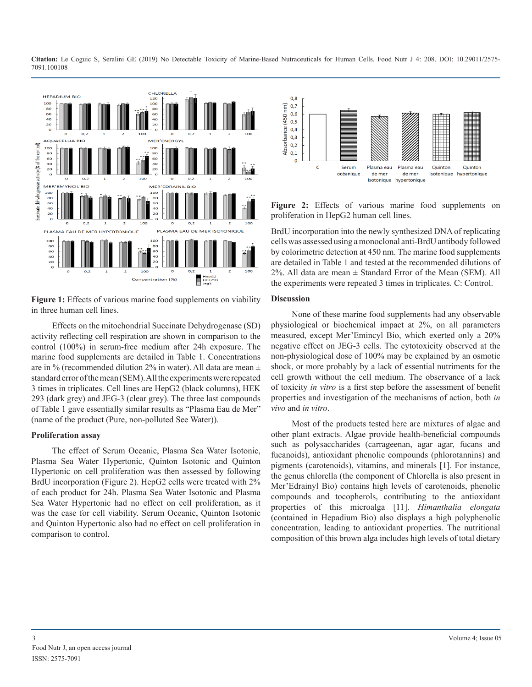

**Figure 1:** Effects of various marine food supplements on viability in three human cell lines.

Effects on the mitochondrial Succinate Dehydrogenase (SD) activity reflecting cell respiration are shown in comparison to the control (100%) in serum-free medium after 24h exposure. The marine food supplements are detailed in Table 1. Concentrations are in % (recommended dilution 2% in water). All data are mean ± standard error of the mean (SEM). All the experiments were repeated 3 times in triplicates. Cell lines are HepG2 (black columns), HEK 293 (dark grey) and JEG-3 (clear grey). The three last compounds of Table 1 gave essentially similar results as "Plasma Eau de Mer" (name of the product (Pure, non-polluted See Water)).

#### **Proliferation assay**

The effect of Serum Oceanic, Plasma Sea Water Isotonic, Plasma Sea Water Hypertonic, Quinton Isotonic and Quinton Hypertonic on cell proliferation was then assessed by following BrdU incorporation (Figure 2). HepG2 cells were treated with 2% of each product for 24h. Plasma Sea Water Isotonic and Plasma Sea Water Hypertonic had no effect on cell proliferation, as it was the case for cell viability. Serum Oceanic, Quinton Isotonic and Quinton Hypertonic also had no effect on cell proliferation in comparison to control.



**Figure 2:** Effects of various marine food supplements on proliferation in HepG2 human cell lines.

BrdU incorporation into the newly synthesized DNA of replicating cells was assessed using a monoclonal anti-BrdU antibody followed by colorimetric detection at 450 nm. The marine food supplements are detailed in Table 1 and tested at the recommended dilutions of 2%. All data are mean  $\pm$  Standard Error of the Mean (SEM). All the experiments were repeated 3 times in triplicates. C: Control.

#### **Discussion**

None of these marine food supplements had any observable physiological or biochemical impact at 2%, on all parameters measured, except Mer'Emincyl Bio, which exerted only a 20% negative effect on JEG-3 cells. The cytotoxicity observed at the non-physiological dose of 100% may be explained by an osmotic shock, or more probably by a lack of essential nutriments for the cell growth without the cell medium. The observance of a lack of toxicity *in vitro* is a first step before the assessment of benefit properties and investigation of the mechanisms of action, both *in vivo* and *in vitro*.

Most of the products tested here are mixtures of algae and other plant extracts. Algae provide health-beneficial compounds such as polysaccharides (carrageenan, agar agar, fucans and fucanoids), antioxidant phenolic compounds (phlorotannins) and pigments (carotenoids), vitamins, and minerals [1]. For instance, the genus chlorella (the component of Chlorella is also present in Mer'Edrainyl Bio) contains high levels of carotenoids, phenolic compounds and tocopherols, contributing to the antioxidant properties of this microalga [11]. *Himanthalia elongata* (contained in Hepadium Bio) also displays a high polyphenolic concentration, leading to antioxidant properties. The nutritional composition of this brown alga includes high levels of total dietary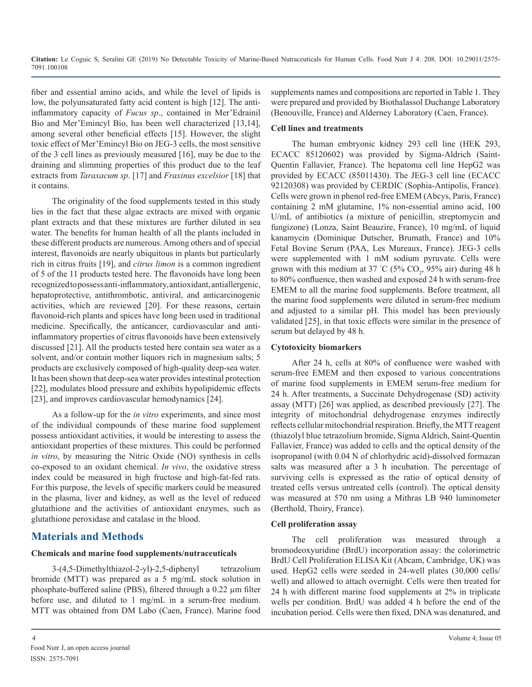fiber and essential amino acids, and while the level of lipids is low, the polyunsaturated fatty acid content is high [12]. The antiinflammatory capacity of *Fucus sp*., contained in Mer'Edrainil Bio and Mer'Emincyl Bio, has been well characterized [13,14], among several other beneficial effects [15]. However, the slight toxic effect of Mer'Emincyl Bio on JEG-3 cells, the most sensitive of the 3 cell lines as previously measured [16], may be due to the draining and slimming properties of this product due to the leaf extracts from *Taraxacum sp*. [17] and *Fraxinus excelsior* [18] that it contains.

The originality of the food supplements tested in this study lies in the fact that these algae extracts are mixed with organic plant extracts and that these mixtures are further diluted in sea water. The benefits for human health of all the plants included in these different products are numerous. Among others and of special interest, flavonoids are nearly ubiquitous in plants but particularly rich in citrus fruits [19], and *citrus limon* is a common ingredient of 5 of the 11 products tested here. The flavonoids have long been recognized to possess anti-inflammatory, antioxidant, antiallergenic, hepatoprotective, antithrombotic, antiviral, and anticarcinogenic activities, which are reviewed [20]. For these reasons, certain flavonoid-rich plants and spices have long been used in traditional medicine. Specifically, the anticancer, cardiovascular and antiinflammatory properties of citrus flavonoids have been extensively discussed [21]. All the products tested here contain sea water as a solvent, and/or contain mother liquors rich in magnesium salts; 5 products are exclusively composed of high-quality deep-sea water. It has been shown that deep-sea water provides intestinal protection [22], modulates blood pressure and exhibits hypolipidemic effects [23], and improves cardiovascular hemodynamics [24].

As a follow-up for the *in vitro* experiments, and since most of the individual compounds of these marine food supplement possess antioxidant activities, it would be interesting to assess the antioxidant properties of these mixtures. This could be performed *in vitro*, by measuring the Nitric Oxide (NO) synthesis in cells co-exposed to an oxidant chemical. *In vivo*, the oxidative stress index could be measured in high fructose and high-fat-fed rats. For this purpose, the levels of specific markers could be measured in the plasma, liver and kidney, as well as the level of reduced glutathione and the activities of antioxidant enzymes, such as glutathione peroxidase and catalase in the blood.

# **Materials and Methods**

#### **Chemicals and marine food supplements/nutraceuticals**

3-(4,5-Dimethylthiazol-2-yl)-2,5-diphenyl tetrazolium bromide (MTT) was prepared as a 5 mg/mL stock solution in phosphate-buffered saline (PBS), filtered through a 0.22 µm filter before use, and diluted to 1 mg/mL in a serum-free medium. MTT was obtained from DM Labo (Caen, France). Marine food supplements names and compositions are reported in Table 1. They were prepared and provided by Biothalassol Duchange Laboratory (Benouville, France) and Alderney Laboratory (Caen, France).

#### **Cell lines and treatments**

The human embryonic kidney 293 cell line (HEK 293, ECACC 85120602) was provided by Sigma-Aldrich (Saint-Quentin Fallavier, France). The hepatoma cell line HepG2 was provided by ECACC (85011430). The JEG-3 cell line (ECACC 92120308) was provided by CERDIC (Sophia-Antipolis, France). Cells were grown in phenol red-free EMEM (Abcys, Paris, France) containing 2 mM glutamine, 1% non-essential amino acid, 100 U/mL of antibiotics (a mixture of penicillin, streptomycin and fungizone) (Lonza, Saint Beauzire, France), 10 mg/mL of liquid kanamycin (Dominique Dutscher, Brumath, France) and 10% Fetal Bovine Serum (PAA, Les Mureaux, France). JEG-3 cells were supplemented with 1 mM sodium pyruvate. Cells were grown with this medium at 37 °C (5%  $CO_2$ , 95% air) during 48 h to 80% confluence, then washed and exposed 24 h with serum-free EMEM to all the marine food supplements. Before treatment, all the marine food supplements were diluted in serum-free medium and adjusted to a similar pH. This model has been previously validated [25], in that toxic effects were similar in the presence of serum but delayed by 48 h.

#### **Cytotoxicity biomarkers**

After 24 h, cells at 80% of confluence were washed with serum-free EMEM and then exposed to various concentrations of marine food supplements in EMEM serum-free medium for 24 h. After treatments, a Succinate Dehydrogenase (SD) activity assay (MTT) [26] was applied, as described previously [27]. The integrity of mitochondrial dehydrogenase enzymes indirectly reflects cellular mitochondrial respiration. Briefly, the MTT reagent (thiazolyl blue tetrazolium bromide, Sigma Aldrich, Saint-Quentin Fallavier, France) was added to cells and the optical density of the isopropanol (with 0.04 N of chlorhydric acid)-dissolved formazan salts was measured after a 3 h incubation. The percentage of surviving cells is expressed as the ratio of optical density of treated cells versus untreated cells (control). The optical density was measured at 570 nm using a Mithras LB 940 luminometer (Berthold, Thoiry, France).

#### **Cell proliferation assay**

The cell proliferation was measured through a bromodeoxyuridine (BrdU) incorporation assay: the colorimetric BrdU Cell Proliferation ELISA Kit (Abcam, Cambridge, UK) was used. HepG2 cells were seeded in 24-well plates (30,000 cells/ well) and allowed to attach overnight. Cells were then treated for 24 h with different marine food supplements at 2% in triplicate wells per condition. BrdU was added 4 h before the end of the incubation period. Cells were then fixed, DNA was denatured, and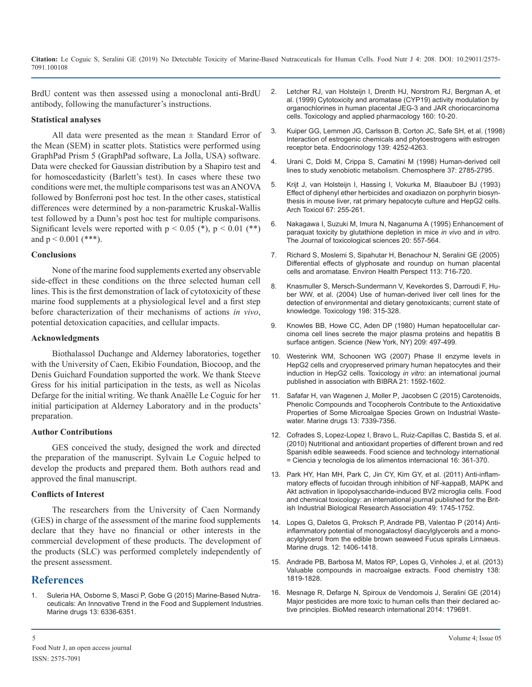BrdU content was then assessed using a monoclonal anti-BrdU antibody, following the manufacturer's instructions.

#### **Statistical analyses**

All data were presented as the mean  $\pm$  Standard Error of the Mean (SEM) in scatter plots. Statistics were performed using GraphPad Prism 5 (GraphPad software, La Jolla, USA) software. Data were checked for Gaussian distribution by a Shapiro test and for homoscedasticity (Barlett's test). In cases where these two conditions were met, the multiple comparisons test was an ANOVA followed by Bonferroni post hoc test. In the other cases, statistical differences were determined by a non-parametric Kruskal-Wallis test followed by a Dunn's post hoc test for multiple comparisons. Significant levels were reported with  $p < 0.05$  (\*),  $p < 0.01$  (\*\*) and  $p < 0.001$  (\*\*\*).

#### **Conclusions**

None of the marine food supplements exerted any observable side-effect in these conditions on the three selected human cell [lines. This is the first demonstration of lack of cytotoxicity of these](https://www.ncbi.nlm.nih.gov/pubmed/15138058)  marine food supplements at a physiological level and a first step before characterization of their mechanisms of actions *in vivo*, potential detoxication capacities, and cellular impacts.

#### **Acknowledgments**

Biothalassol Duchange and Alderney laboratories, together [with the University of Caen, Ekibio Foundation, Biocoop, and the](https://www.ncbi.nlm.nih.gov/pubmed/17716855)  Denis Guichard Foundation supported the work. We thank Steeve Gress for his initial participation in the tests, as well as Nicolas Defarge for the initial writing. We thank Anaëlle Le Coguic for her [initial participation at Alderney Laboratory and in the products'](https://www.ncbi.nlm.nih.gov/pubmed/26690454)  preparation.

#### **Author Contributions**

GES conceived the study, designed the work and directed the preparation of the manuscript. Sylvain Le Coguic helped to develop the products and prepared them. Both authors read and approved the final manuscript.

#### **Conflicts of Interest**

The researchers from the University of Caen Normandy (GES) in charge of the assessment of the marine food supplements [declare that they have no financial or other interests in the](https://www.ncbi.nlm.nih.gov/pmc/articles/PMC3967218/)  commercial development of these products. The development of the products (SLC) was performed completely independently of the present assessment.

# **References**

[Suleria HA, Osborne S, Masci P, Gobe G \(2015\) Marine-Based Nutra](https://www.ncbi.nlm.nih.gov/pubmed/26473889)[ceuticals: An Innovative Trend in the Food and Supplement Industries](https://www.ncbi.nlm.nih.gov/pubmed/26473889). [Marine drugs 13: 6336-6351.](https://www.ncbi.nlm.nih.gov/pubmed/26473889)

- 2. [Letcher RJ, van Holsteijn I, Drenth HJ, Norstrom RJ, Bergman A, et](https://www.ncbi.nlm.nih.gov/pubmed/10502498) [al. \(1999\) Cytotoxicity and aromatase \(CYP19\) activity modulation by](https://www.ncbi.nlm.nih.gov/pubmed/10502498)  [organochlorines in human placental JEG-3 and JAR choriocarcinoma](https://www.ncbi.nlm.nih.gov/pubmed/10502498)  [cells. Toxicology and applied pharmacology 160: 10-20.](https://www.ncbi.nlm.nih.gov/pubmed/10502498)
- 3. [Kuiper GG, Lemmen JG, Carlsson B, Corton JC, Safe SH, et al. \(1998](https://www.ncbi.nlm.nih.gov/pubmed/9751507)) [Interaction of estrogenic chemicals and phytoestrogens with estrogen](https://www.ncbi.nlm.nih.gov/pubmed/9751507)  [receptor beta. Endocrinology 139: 4252-4263.](https://www.ncbi.nlm.nih.gov/pubmed/9751507)
- 4. [Urani C, Doldi M, Crippa S, Camatini M \(1998\) Human-derived cell](https://www.ncbi.nlm.nih.gov/pubmed/9839400)  [lines to study xenobiotic metabolism. Chemosphere 37: 2785-2795.](https://www.ncbi.nlm.nih.gov/pubmed/9839400)
- 5. [Krijt J, van Holsteijn I, Hassing I, Vokurka M, Blaauboer BJ \(1993\)](https://www.ncbi.nlm.nih.gov/pubmed/8517781)  [Effect of diphenyl ether herbicides and oxadiazon on porphyrin biosyn](https://www.ncbi.nlm.nih.gov/pubmed/8517781)[thesis in mouse liver, rat primary hepatocyte culture and HepG2 cells.](https://www.ncbi.nlm.nih.gov/pubmed/8517781) [Arch Toxicol 67: 255-261.](https://www.ncbi.nlm.nih.gov/pubmed/8517781)
- 6. [Nakagawa I, Suzuki M, Imura N, Naganuma A \(1995\) Enhancement o](https://www.ncbi.nlm.nih.gov/pubmed/8720162)f paraquat toxicity by glutathione depletion in mice *in vivo* and *in vitro*. [The Journal of toxicological sciences 20: 557-564.](https://www.ncbi.nlm.nih.gov/pubmed/8720162)
- 7. [Richard S, Moslemi S, Sipahutar H, Benachour N, Seralini GE \(2005\)](https://www.ncbi.nlm.nih.gov/pubmed/15929894)  [Differential effects of glyphosate and roundup on human placental](https://www.ncbi.nlm.nih.gov/pubmed/15929894)  [cells and aromatase. Environ Health Perspect 113: 716-720.](https://www.ncbi.nlm.nih.gov/pubmed/15929894)
- 8. [Knasmuller S, Mersch-Sundermann V, Kevekordes S, Darroudi F, Hu](https://www.ncbi.nlm.nih.gov/pubmed/15138058)ber WW, et al. (2004) Use of human-derived liver cell lines for the [detection of environmental and dietary genotoxicants; current state of](https://www.ncbi.nlm.nih.gov/pubmed/15138058)  [knowledge. Toxicology 198: 315-328.](https://www.ncbi.nlm.nih.gov/pubmed/15138058)
- 9. [Knowles BB, Howe CC, Aden DP \(1980\) Human hepatocellular car](https://www.ncbi.nlm.nih.gov/pubmed/6248960)[cinoma cell lines secrete the major plasma proteins and hepatitis B](https://www.ncbi.nlm.nih.gov/pubmed/6248960)  [surface antigen. Science \(New York, NY\) 209: 497-499.](https://www.ncbi.nlm.nih.gov/pubmed/6248960)
- 10. [Westerink WM, Schoonen WG \(2007\) Phase II enzyme levels in](https://www.ncbi.nlm.nih.gov/pubmed/17716855) HepG2 cells and cryopreserved primary human hepatocytes and their [induction in HepG2 cells. Toxicology](https://www.ncbi.nlm.nih.gov/pubmed/17716855) *in vitro*: an international journal [published in association with BIBRA 21: 1592-1602.](https://www.ncbi.nlm.nih.gov/pubmed/17716855)
- 11. [Safafar H, van Wagenen J, Moller P, Jacobsen C \(2015\) Carotenoids,](https://www.ncbi.nlm.nih.gov/pubmed/26690454)  Phenolic Compounds and Tocopherols Contribute to the Antioxidative [Properties of Some Microalgae Species Grown on Industrial Waste](https://www.ncbi.nlm.nih.gov/pubmed/26690454)[water. Marine drugs 13: 7339-7356.](https://www.ncbi.nlm.nih.gov/pubmed/26690454)
- 12. [Cofrades S, Lopez-Lopez I, Bravo L, Ruiz-Capillas C, Bastida S, et al.](https://www.ncbi.nlm.nih.gov/pubmed/21339154)  [\(2010\) Nutritional and antioxidant properties of different brown and red](https://www.ncbi.nlm.nih.gov/pubmed/21339154)  [Spanish edible seaweeds. Food science and technology international](https://www.ncbi.nlm.nih.gov/pubmed/21339154)  [= Ciencia y tecnologia de los alimentos internacional 16: 361-370.](https://www.ncbi.nlm.nih.gov/pubmed/21339154)
- 13. [Park HY, Han MH, Park C, Jin CY, Kim GY, et al. \(2011\) Anti-inflam](https://www.ncbi.nlm.nih.gov/pubmed/21570441)[matory effects of fucoidan through inhibition of NF-kappaB, MAPK and](https://www.ncbi.nlm.nih.gov/pubmed/21570441)  [Akt activation in lipopolysaccharide-induced BV2 microglia cells. Food](https://www.ncbi.nlm.nih.gov/pubmed/21570441)  [and chemical toxicology: an international journal published for the Brit](https://www.ncbi.nlm.nih.gov/pubmed/21570441)[ish Industrial Biological Research Association 49: 1745-1752.](https://www.ncbi.nlm.nih.gov/pubmed/21570441)
- 14. [Lopes G, Daletos G, Proksch P, Andrade PB, Valentao P \(2014\) Anti](https://www.ncbi.nlm.nih.gov/pmc/articles/PMC3967218/)inflammatory potential of monogalactosyl diacylglycerols and a mono[acylglycerol from the edible brown seaweed Fucus spiralis Linnaeus.](https://www.ncbi.nlm.nih.gov/pmc/articles/PMC3967218/)  [Marine drugs. 12: 1406-1418.](https://www.ncbi.nlm.nih.gov/pmc/articles/PMC3967218/)
- 15. [Andrade PB, Barbosa M, Matos RP, Lopes G, Vinholes J, et al. \(2013](https://www.ncbi.nlm.nih.gov/pubmed/23411314)) [Valuable compounds in macroalgae extracts. Food chemistry 138:](https://www.ncbi.nlm.nih.gov/pubmed/23411314) [1819-1828.](https://www.ncbi.nlm.nih.gov/pubmed/23411314)
- 16. [Mesnage R, Defarge N, Spiroux de Vendomois J, Seralini GE \(2014\)](https://www.ncbi.nlm.nih.gov/pmc/articles/PMC3955666/) [Major pesticides are more toxic to human cells than their declared ac](https://www.ncbi.nlm.nih.gov/pmc/articles/PMC3955666/)[tive principles. BioMed research international 2014: 179691.](https://www.ncbi.nlm.nih.gov/pmc/articles/PMC3955666/)